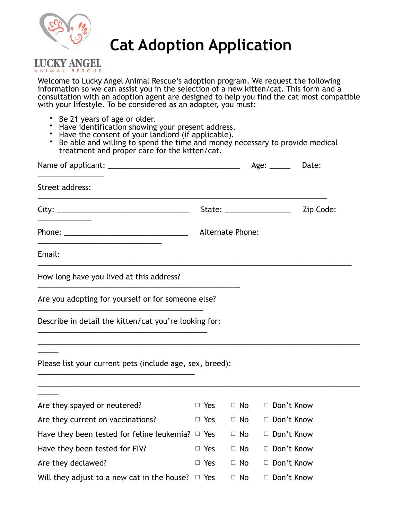

## **Cat Adoption Application**

## **LUCKY ANGEL** ANIMAL RESCUE

Welcome to Lucky Angel Animal Rescue's adoption program. We request the following information so we can assist you in the selection of a new kitten/cat. This form and a consultation with an adoption agent are designed to help you find the cat most compatible with your lifestyle. To be considered as an adopter, you must:

- Be 21 years of age or older.
- Have identification showing your present address.
- Have the consent of your landlord (if applicable).
- Be able and willing to spend the time and money necessary to provide medical treatment and proper care for the kitten/cat.

|                                                        |           |                                                          | Date:                                    |
|--------------------------------------------------------|-----------|----------------------------------------------------------|------------------------------------------|
|                                                        |           |                                                          |                                          |
|                                                        |           |                                                          | Zip Code:                                |
| <b>Alternate Phone:</b>                                |           |                                                          |                                          |
|                                                        |           |                                                          |                                          |
|                                                        |           |                                                          |                                          |
| Are you adopting for yourself or for someone else?     |           |                                                          |                                          |
| Describe in detail the kitten/cat you're looking for:  |           |                                                          |                                          |
|                                                        |           |                                                          |                                          |
| $\Box$ Yes                                             | $\Box$ No |                                                          | □ Don't Know                             |
| $\Box$ Yes                                             | $\Box$ No |                                                          | □ Don't Know                             |
| Have they been tested for feline leukemia? $\Box$ Yes  | $\Box$ No |                                                          | □ Don't Know                             |
| $\Box$ Yes                                             | $\Box$ No |                                                          | □ Don't Know                             |
| $\Box$ Yes                                             | $\Box$ No |                                                          | □ Don't Know                             |
| Will they adjust to a new cat in the house? $\Box$ Yes | $\Box$ No |                                                          | □ Don't Know                             |
|                                                        |           | Please list your current pets (include age, sex, breed): | Age: ______<br>State: __________________ |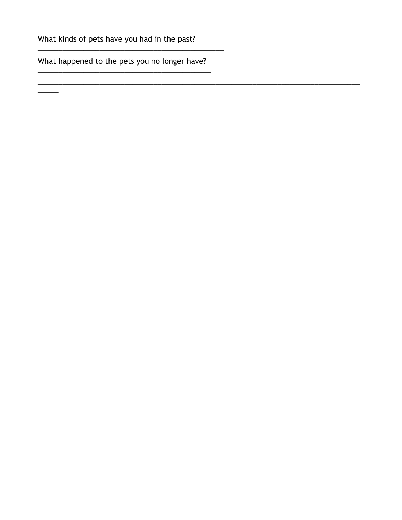What kinds of pets have you had in the past?

 $\overline{\phantom{0}}$ 

What happened to the pets you no longer have?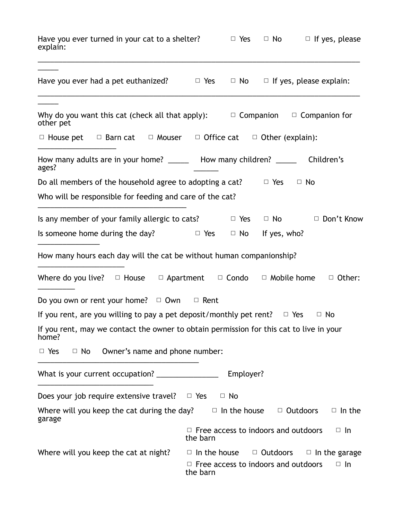| Have you ever turned in your cat to a shelter?<br>explain:                                          |                                                                     | $\Box$ Yes |                                            | $\Box$ No $\Box$ If yes, please        |  |  |
|-----------------------------------------------------------------------------------------------------|---------------------------------------------------------------------|------------|--------------------------------------------|----------------------------------------|--|--|
| Have you ever had a pet euthanized? $\Box$ Yes $\Box$ No $\Box$ If yes, please explain:             |                                                                     |            |                                            |                                        |  |  |
| Why do you want this cat (check all that apply): $\Box$ Companion $\Box$ Companion for<br>other pet |                                                                     |            |                                            |                                        |  |  |
| $\Box$ House pet $\Box$ Barn cat $\Box$ Mouser $\Box$ Office cat $\Box$ Other (explain):            |                                                                     |            |                                            |                                        |  |  |
| How many adults are in your home? _______ How many children? _______ Children's<br>ages?            |                                                                     |            |                                            |                                        |  |  |
| Do all members of the household agree to adopting a cat? $\Box$ Yes                                 |                                                                     |            |                                            | $\Box$ No                              |  |  |
| Who will be responsible for feeding and care of the cat?                                            |                                                                     |            |                                            |                                        |  |  |
| Is any member of your family allergic to cats?                                                      |                                                                     |            |                                            | $\Box$ Yes $\Box$ No $\Box$ Don't Know |  |  |
| Is someone home during the day? $\Box$ Yes                                                          |                                                                     |            | $\Box$ No If yes, who?                     |                                        |  |  |
| How many hours each day will the cat be without human companionship?                                |                                                                     |            |                                            |                                        |  |  |
| Where do you live? $\Box$ House $\Box$ Apartment $\Box$ Condo $\Box$ Mobile home                    |                                                                     |            |                                            | $\Box$ Other:                          |  |  |
| Do you own or rent your home? $\Box$ Own $\Box$ Rent                                                |                                                                     |            |                                            |                                        |  |  |
| If you rent, are you willing to pay a pet deposit/monthly pet rent? $\Box$ Yes                      |                                                                     |            |                                            | $\Box$ No                              |  |  |
| If you rent, may we contact the owner to obtain permission for this cat to live in your<br>home?    |                                                                     |            |                                            |                                        |  |  |
| $\Box$ Yes<br>$\Box$ No Owner's name and phone number:                                              |                                                                     |            |                                            |                                        |  |  |
| What is your current occupation? ________________                                                   |                                                                     | Employer?  |                                            |                                        |  |  |
| Does your job require extensive travel? $\Box$ Yes $\Box$ No                                        |                                                                     |            |                                            |                                        |  |  |
| Where will you keep the cat during the day?<br>garage                                               |                                                                     |            | $\Box$ In the house $\Box$ Outdoors        | $\Box$ In the                          |  |  |
|                                                                                                     | the barn                                                            |            | $\Box$ Free access to indoors and outdoors | $\Box$ In                              |  |  |
| Where will you keep the cat at night?                                                               | $\Box$ In the house $\Box$ Outdoors $\Box$ In the garage            |            |                                            |                                        |  |  |
|                                                                                                     | $\Box$ Free access to indoors and outdoors<br>$\Box$ In<br>the barn |            |                                            |                                        |  |  |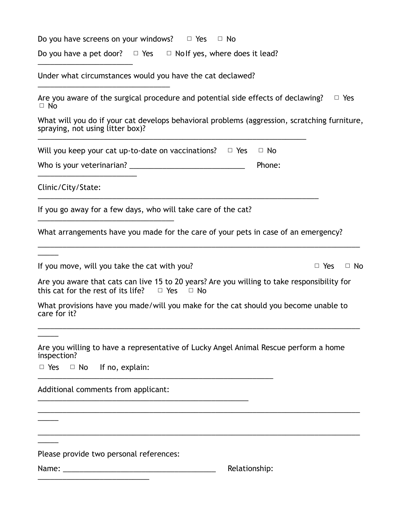Do you have screens on your windows?  $\Box$  Yes  $\Box$  No

Do you have a pet door?  $\Box$  Yes  $\Box$  No If yes, where does it lead? \_\_\_\_\_\_\_\_\_\_\_\_\_\_\_\_\_\_\_\_\_\_\_

Under what circumstances would you have the cat declawed? \_\_\_\_\_\_\_\_\_\_\_\_\_\_\_\_\_\_\_\_\_\_\_\_\_\_\_\_\_\_\_\_

Are you aware of the surgical procedure and potential side effects of declawing?  $\Box$  Yes □ No

What will you do if your cat develops behavioral problems (aggression, scratching furniture, spraying, not using litter box)? \_\_\_\_\_\_\_\_\_\_\_\_\_\_\_\_\_\_\_\_\_\_\_\_\_\_\_\_\_\_\_\_\_\_\_\_\_\_\_\_\_\_\_\_\_\_\_\_\_\_\_\_\_\_\_\_\_\_\_\_\_\_\_\_\_

Will you keep your cat up-to-date on vaccinations?  $\Box$  Yes  $\Box$  No

Who is your veterinarian? \_\_\_\_\_\_\_\_\_\_\_\_\_\_\_\_\_\_\_\_\_\_\_\_\_\_\_\_ Phone: \_\_\_\_\_\_\_\_\_\_\_\_\_\_\_\_\_\_\_\_\_\_\_\_

Clinic/City/State: \_\_\_\_\_\_\_\_\_\_\_\_\_\_\_\_\_\_\_\_\_\_\_\_\_\_\_\_\_\_\_\_\_\_\_\_\_\_\_\_\_\_\_\_\_\_\_\_\_\_\_\_\_\_\_\_\_\_\_\_\_\_\_\_\_\_\_\_

\_\_\_\_\_

 $\overline{\phantom{a}}$ 

If you go away for a few days, who will take care of the cat?

What arrangements have you made for the care of your pets in case of an emergency?

\_\_\_\_\_\_\_\_\_\_\_\_\_\_\_\_\_\_\_\_\_\_\_\_\_\_\_\_\_\_\_\_\_\_\_\_\_\_\_\_\_\_\_\_\_\_\_\_\_\_\_\_\_\_\_\_\_\_\_\_\_\_\_\_\_\_\_\_\_\_\_\_\_\_\_\_\_\_

If you move, will you take the cat with you?  $\Box$   $\Box$  Yes  $\Box$  No

\_\_\_\_\_\_\_\_\_\_\_\_\_\_\_\_\_\_\_\_\_\_\_\_\_\_\_\_\_\_\_\_\_

Are you aware that cats can live 15 to 20 years? Are you willing to take responsibility for this cat for the rest of its life?  $\Box$  Yes  $\Box$  No

What provisions have you made/will you make for the cat should you become unable to care for it?

\_\_\_\_\_\_\_\_\_\_\_\_\_\_\_\_\_\_\_\_\_\_\_\_\_\_\_\_\_\_\_\_\_\_\_\_\_\_\_\_\_\_\_\_\_\_\_\_\_\_\_\_\_\_\_\_\_\_\_\_\_\_\_\_\_\_\_\_\_\_\_\_\_\_\_\_\_\_

\_\_\_\_\_\_\_\_\_\_\_\_\_\_\_\_\_\_\_\_\_\_\_\_\_\_\_\_\_\_\_\_\_\_\_\_\_\_\_\_\_\_\_\_\_\_\_\_\_\_\_\_\_\_\_\_\_\_\_\_\_\_\_\_\_\_\_\_\_\_\_\_\_\_\_\_\_\_

\_\_\_\_\_\_\_\_\_\_\_\_\_\_\_\_\_\_\_\_\_\_\_\_\_\_\_\_\_\_\_\_\_\_\_\_\_\_\_\_\_\_\_\_\_\_\_\_\_\_\_\_\_\_\_\_\_\_\_\_\_\_\_\_\_\_\_\_\_\_\_\_\_\_\_\_\_\_

Are you willing to have a representative of Lucky Angel Animal Rescue perform a home inspection?

\_\_\_\_\_\_\_\_\_\_\_\_\_\_\_\_\_\_\_\_\_\_\_\_\_\_\_\_\_\_\_\_\_\_\_\_\_\_\_\_\_\_\_\_\_\_\_\_\_\_\_\_\_\_\_\_\_

□ Yes □ No If no, explain:

Additional comments from applicant: \_\_\_\_\_\_\_\_\_\_\_\_\_\_\_\_\_\_\_\_\_\_\_\_\_\_\_\_\_\_\_\_\_\_\_\_\_\_\_\_\_\_\_\_\_\_\_\_\_\_\_

Please provide two personal references:

\_\_\_\_\_\_\_\_\_\_\_\_\_\_\_\_\_\_\_\_\_\_\_\_\_\_\_

\_\_\_\_\_

 $\overline{\phantom{a}}$ 

Name: **Name**: **Name**: **Name**: **Name**: **Name**: **Name**: **Name**: **Name**: **Name**: **Name**: **Name**: **Name**: **Name**: **Name**: **Name**: **Name**: **Name**: **Name**: **Name**: **Name**: **Name**: **Name**: **Name**: **Name**: **Name**: **Name**: **Name**: